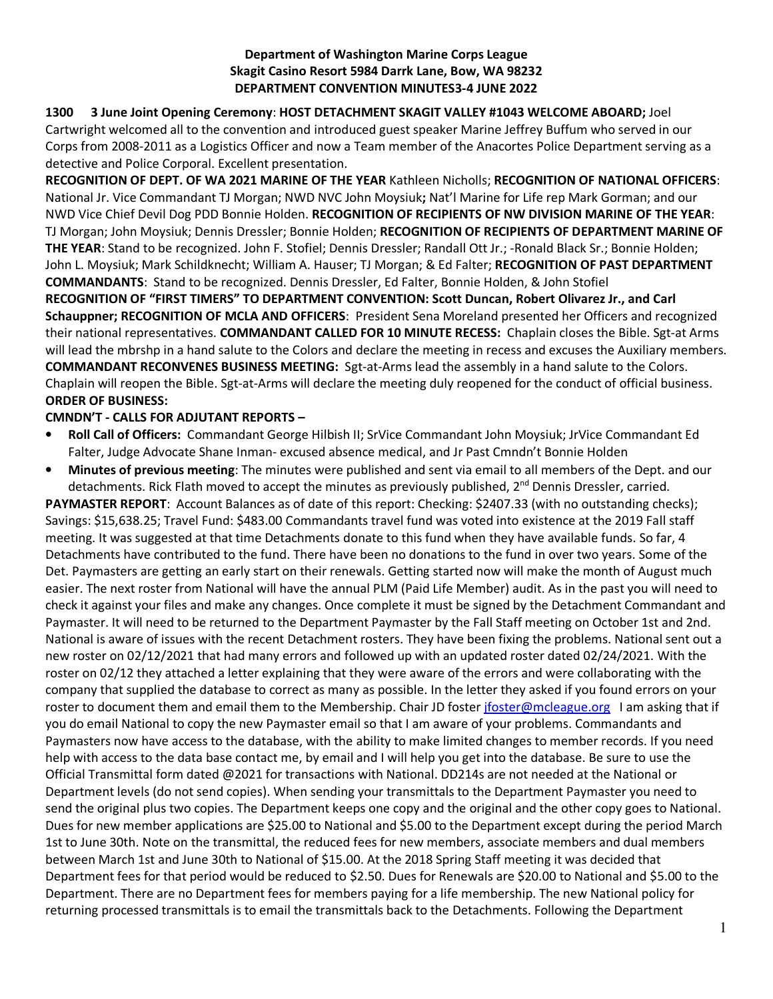## **Department of Washington Marine Corps League Skagit Casino Resort 5984 Darrk Lane, Bow, WA 98232 DEPARTMENT CONVENTION MINUTES3-4 JUNE 2022**

## **1300 3 June Joint Opening Ceremony**: **HOST DETACHMENT SKAGIT VALLEY #1043 WELCOME ABOARD;** Joel

Cartwright welcomed all to the convention and introduced guest speaker Marine Jeffrey Buffum who served in our Corps from 2008-2011 as a Logistics Officer and now a Team member of the Anacortes Police Department serving as a detective and Police Corporal. Excellent presentation.

**RECOGNITION OF DEPT. OF WA 2021 MARINE OF THE YEAR** Kathleen Nicholls; **RECOGNITION OF NATIONAL OFFICERS**: National Jr. Vice Commandant TJ Morgan; NWD NVC John Moysiuk**;** Nat'l Marine for Life rep Mark Gorman; and our NWD Vice Chief Devil Dog PDD Bonnie Holden. **RECOGNITION OF RECIPIENTS OF NW DIVISION MARINE OF THE YEAR**: TJ Morgan; John Moysiuk; Dennis Dressler; Bonnie Holden; **RECOGNITION OF RECIPIENTS OF DEPARTMENT MARINE OF THE YEAR**: Stand to be recognized. John F. Stofiel; Dennis Dressler; Randall Ott Jr.; -Ronald Black Sr.; Bonnie Holden; John L. Moysiuk; Mark Schildknecht; William A. Hauser; TJ Morgan; & Ed Falter; **RECOGNITION OF PAST DEPARTMENT COMMANDANTS**: Stand to be recognized. Dennis Dressler, Ed Falter, Bonnie Holden, & John Stofiel **RECOGNITION OF "FIRST TIMERS" TO DEPARTMENT CONVENTION: Scott Duncan, Robert Olivarez Jr., and Carl Schauppner; RECOGNITION OF MCLA AND OFFICERS**: President Sena Moreland presented her Officers and recognized their national representatives. **COMMANDANT CALLED FOR 10 MINUTE RECESS:** Chaplain closes the Bible. Sgt-at Arms will lead the mbrshp in a hand salute to the Colors and declare the meeting in recess and excuses the Auxiliary members. **COMMANDANT RECONVENES BUSINESS MEETING:** Sgt-at-Arms lead the assembly in a hand salute to the Colors. Chaplain will reopen the Bible. Sgt-at-Arms will declare the meeting duly reopened for the conduct of official business. **ORDER OF BUSINESS:** 

# **CMNDN'T - CALLS FOR ADJUTANT REPORTS –**

- **Roll Call of Officers:** Commandant George Hilbish II; SrVice Commandant John Moysiuk; JrVice Commandant Ed Falter, Judge Advocate Shane Inman- excused absence medical, and Jr Past Cmndn't Bonnie Holden
- **Minutes of previous meeting**: The minutes were published and sent via email to all members of the Dept. and our detachments. Rick Flath moved to accept the minutes as previously published, 2<sup>nd</sup> Dennis Dressler, carried.

**PAYMASTER REPORT**: Account Balances as of date of this report: Checking: \$2407.33 (with no outstanding checks); Savings: \$15,638.25; Travel Fund: \$483.00 Commandants travel fund was voted into existence at the 2019 Fall staff meeting. It was suggested at that time Detachments donate to this fund when they have available funds. So far, 4 Detachments have contributed to the fund. There have been no donations to the fund in over two years. Some of the Det. Paymasters are getting an early start on their renewals. Getting started now will make the month of August much easier. The next roster from National will have the annual PLM (Paid Life Member) audit. As in the past you will need to check it against your files and make any changes. Once complete it must be signed by the Detachment Commandant and Paymaster. It will need to be returned to the Department Paymaster by the Fall Staff meeting on October 1st and 2nd. National is aware of issues with the recent Detachment rosters. They have been fixing the problems. National sent out a new roster on 02/12/2021 that had many errors and followed up with an updated roster dated 02/24/2021. With the roster on 02/12 they attached a letter explaining that they were aware of the errors and were collaborating with the company that supplied the database to correct as many as possible. In the letter they asked if you found errors on your roster to document them and email them to the Membership. Chair JD foster jfoster@mcleague.org I am asking that if you do email National to copy the new Paymaster email so that I am aware of your problems. Commandants and Paymasters now have access to the database, with the ability to make limited changes to member records. If you need help with access to the data base contact me, by email and I will help you get into the database. Be sure to use the Official Transmittal form dated @2021 for transactions with National. DD214s are not needed at the National or Department levels (do not send copies). When sending your transmittals to the Department Paymaster you need to send the original plus two copies. The Department keeps one copy and the original and the other copy goes to National. Dues for new member applications are \$25.00 to National and \$5.00 to the Department except during the period March 1st to June 30th. Note on the transmittal, the reduced fees for new members, associate members and dual members between March 1st and June 30th to National of \$15.00. At the 2018 Spring Staff meeting it was decided that Department fees for that period would be reduced to \$2.50. Dues for Renewals are \$20.00 to National and \$5.00 to the Department. There are no Department fees for members paying for a life membership. The new National policy for returning processed transmittals is to email the transmittals back to the Detachments. Following the Department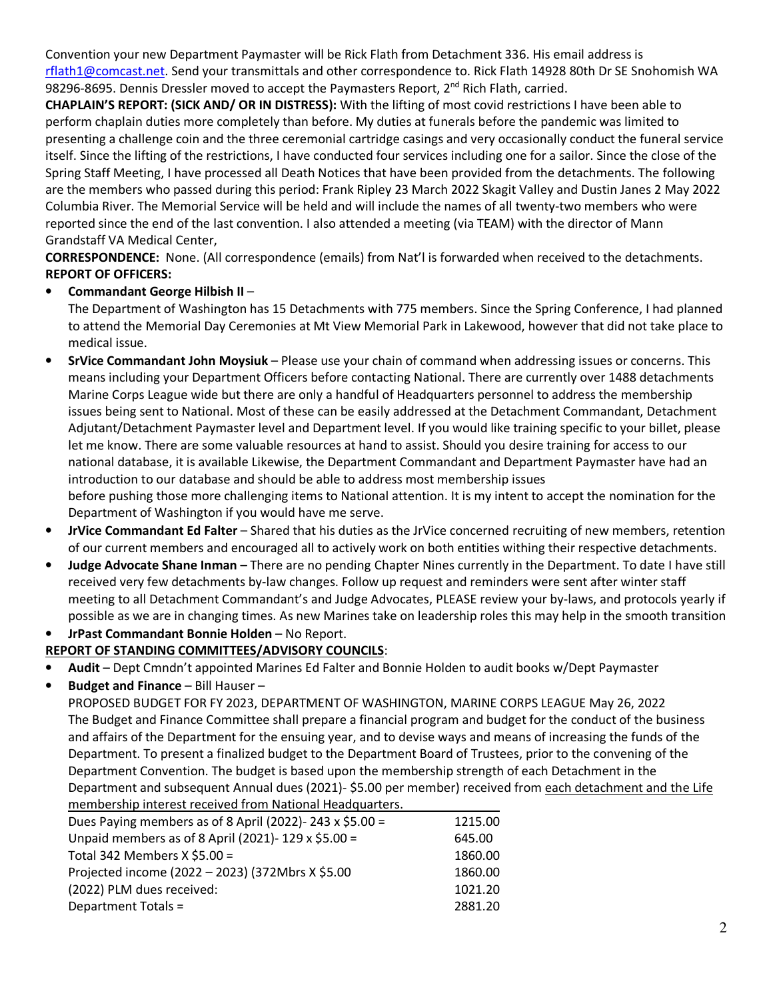Convention your new Department Paymaster will be Rick Flath from Detachment 336. His email address is rflath1@comcast.net. Send your transmittals and other correspondence to. Rick Flath 14928 80th Dr SE Snohomish WA 98296-8695. Dennis Dressler moved to accept the Paymasters Report, 2<sup>nd</sup> Rich Flath, carried.

**CHAPLAIN'S REPORT: (SICK AND/ OR IN DISTRESS):** With the lifting of most covid restrictions I have been able to perform chaplain duties more completely than before. My duties at funerals before the pandemic was limited to presenting a challenge coin and the three ceremonial cartridge casings and very occasionally conduct the funeral service itself. Since the lifting of the restrictions, I have conducted four services including one for a sailor. Since the close of the Spring Staff Meeting, I have processed all Death Notices that have been provided from the detachments. The following are the members who passed during this period: Frank Ripley 23 March 2022 Skagit Valley and Dustin Janes 2 May 2022 Columbia River. The Memorial Service will be held and will include the names of all twenty-two members who were reported since the end of the last convention. I also attended a meeting (via TEAM) with the director of Mann Grandstaff VA Medical Center,

**CORRESPONDENCE:** None. (All correspondence (emails) from Nat'l is forwarded when received to the detachments. **REPORT OF OFFICERS:** 

• **Commandant George Hilbish II** –

The Department of Washington has 15 Detachments with 775 members. Since the Spring Conference, I had planned to attend the Memorial Day Ceremonies at Mt View Memorial Park in Lakewood, however that did not take place to medical issue.

- **SrVice Commandant John Moysiuk** Please use your chain of command when addressing issues or concerns. This means including your Department Officers before contacting National. There are currently over 1488 detachments Marine Corps League wide but there are only a handful of Headquarters personnel to address the membership issues being sent to National. Most of these can be easily addressed at the Detachment Commandant, Detachment Adjutant/Detachment Paymaster level and Department level. If you would like training specific to your billet, please let me know. There are some valuable resources at hand to assist. Should you desire training for access to our national database, it is available Likewise, the Department Commandant and Department Paymaster have had an introduction to our database and should be able to address most membership issues before pushing those more challenging items to National attention. It is my intent to accept the nomination for the Department of Washington if you would have me serve.
- **JrVice Commandant Ed Falter** Shared that his duties as the JrVice concerned recruiting of new members, retention of our current members and encouraged all to actively work on both entities withing their respective detachments.
- **Judge Advocate Shane Inman –** There are no pending Chapter Nines currently in the Department. To date I have still received very few detachments by-law changes. Follow up request and reminders were sent after winter staff meeting to all Detachment Commandant's and Judge Advocates, PLEASE review your by-laws, and protocols yearly if possible as we are in changing times. As new Marines take on leadership roles this may help in the smooth transition
- **JrPast Commandant Bonnie Holden** No Report.

# **REPORT OF STANDING COMMITTEES/ADVISORY COUNCILS**:

- **Audit**  Dept Cmndn't appointed Marines Ed Falter and Bonnie Holden to audit books w/Dept Paymaster
- **Budget and Finance** Bill Hauser –

PROPOSED BUDGET FOR FY 2023, DEPARTMENT OF WASHINGTON, MARINE CORPS LEAGUE May 26, 2022 The Budget and Finance Committee shall prepare a financial program and budget for the conduct of the business and affairs of the Department for the ensuing year, and to devise ways and means of increasing the funds of the Department. To present a finalized budget to the Department Board of Trustees, prior to the convening of the Department Convention. The budget is based upon the membership strength of each Detachment in the Department and subsequent Annual dues (2021)- \$5.00 per member) received from each detachment and the Life membership interest received from National Headquarters.

| Dues Paying members as of 8 April (2022)-243 x \$5.00 = | 1215.00 |
|---------------------------------------------------------|---------|
| Unpaid members as of 8 April (2021)- 129 x \$5.00 =     | 645.00  |
| Total 342 Members $X$ \$5.00 =                          | 1860.00 |
| Projected income (2022 - 2023) (372Mbrs X \$5.00        | 1860.00 |
| (2022) PLM dues received:                               | 1021.20 |
| Department Totals =                                     | 2881.20 |
|                                                         |         |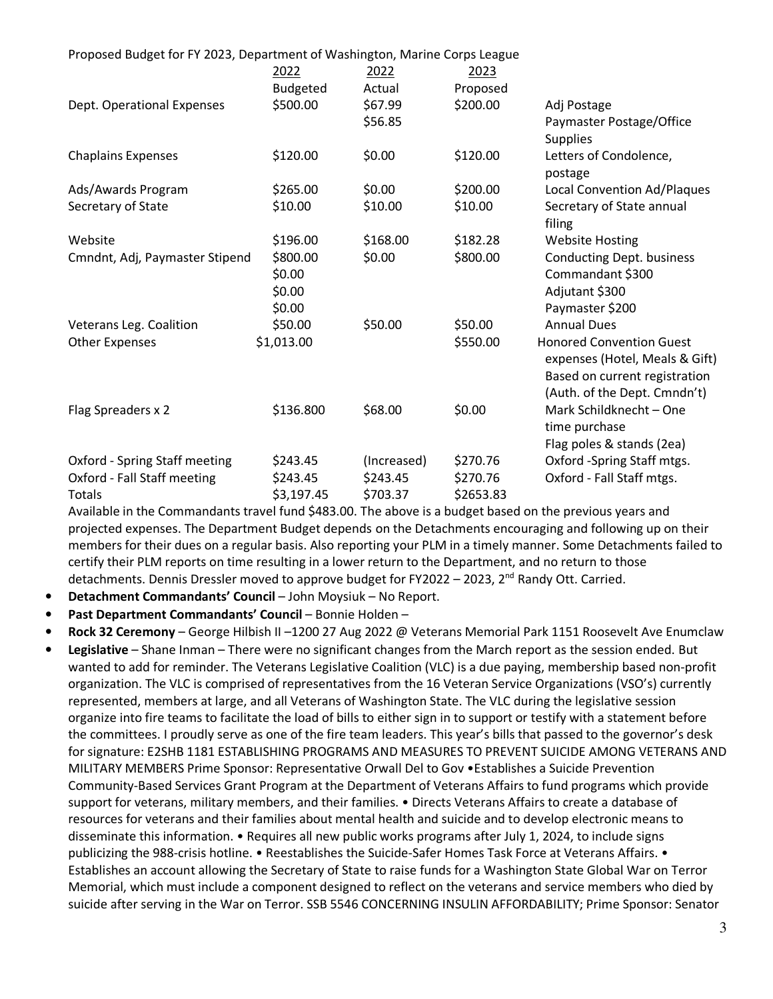| Proposed Budget for FY 2023, Department of Washington, Marine Corps League |                 |             |           |                                    |
|----------------------------------------------------------------------------|-----------------|-------------|-----------|------------------------------------|
|                                                                            | 2022            | 2022        | 2023      |                                    |
|                                                                            | <b>Budgeted</b> | Actual      | Proposed  |                                    |
| Dept. Operational Expenses                                                 | \$500.00        | \$67.99     | \$200.00  | Adj Postage                        |
|                                                                            |                 | \$56.85     |           | Paymaster Postage/Office           |
|                                                                            |                 |             |           | <b>Supplies</b>                    |
| <b>Chaplains Expenses</b>                                                  | \$120.00        | \$0.00      | \$120.00  | Letters of Condolence,             |
|                                                                            |                 |             |           | postage                            |
| Ads/Awards Program                                                         | \$265.00        | \$0.00      | \$200.00  | <b>Local Convention Ad/Plaques</b> |
| Secretary of State                                                         | \$10.00         | \$10.00     | \$10.00   | Secretary of State annual          |
|                                                                            |                 |             |           | filing                             |
| Website                                                                    | \$196.00        | \$168.00    | \$182.28  | <b>Website Hosting</b>             |
| Cmndnt, Adj, Paymaster Stipend                                             | \$800.00        | \$0.00      | \$800.00  | <b>Conducting Dept. business</b>   |
|                                                                            | \$0.00          |             |           | Commandant \$300                   |
|                                                                            | \$0.00          |             |           | Adjutant \$300                     |
|                                                                            | \$0.00          |             |           | Paymaster \$200                    |
| Veterans Leg. Coalition                                                    | \$50.00         | \$50.00     | \$50.00   | <b>Annual Dues</b>                 |
| <b>Other Expenses</b>                                                      | \$1,013.00      |             | \$550.00  | <b>Honored Convention Guest</b>    |
|                                                                            |                 |             |           | expenses (Hotel, Meals & Gift)     |
|                                                                            |                 |             |           | Based on current registration      |
|                                                                            |                 |             |           | (Auth. of the Dept. Cmndn't)       |
| Flag Spreaders x 2                                                         | \$136.800       | \$68.00     | \$0.00    | Mark Schildknecht - One            |
|                                                                            |                 |             |           | time purchase                      |
|                                                                            |                 |             |           | Flag poles & stands (2ea)          |
| Oxford - Spring Staff meeting                                              | \$243.45        | (Increased) | \$270.76  | Oxford -Spring Staff mtgs.         |
| Oxford - Fall Staff meeting                                                | \$243.45        | \$243.45    | \$270.76  | Oxford - Fall Staff mtgs.          |
| Totals                                                                     | \$3,197.45      | \$703.37    | \$2653.83 |                                    |

Available in the Commandants travel fund \$483.00. The above is a budget based on the previous years and projected expenses. The Department Budget depends on the Detachments encouraging and following up on their members for their dues on a regular basis. Also reporting your PLM in a timely manner. Some Detachments failed to certify their PLM reports on time resulting in a lower return to the Department, and no return to those detachments. Dennis Dressler moved to approve budget for FY2022 - 2023, 2<sup>nd</sup> Randy Ott. Carried.

- **Detachment Commandants' Council** John Moysiuk No Report.
- **Past Department Commandants' Council** Bonnie Holden –
- **Rock 32 Ceremony** George Hilbish II –1200 27 Aug 2022 @ Veterans Memorial Park 1151 Roosevelt Ave Enumclaw
- **Legislative**  Shane Inman There were no significant changes from the March report as the session ended. But wanted to add for reminder. The Veterans Legislative Coalition (VLC) is a due paying, membership based non-profit organization. The VLC is comprised of representatives from the 16 Veteran Service Organizations (VSO's) currently represented, members at large, and all Veterans of Washington State. The VLC during the legislative session organize into fire teams to facilitate the load of bills to either sign in to support or testify with a statement before the committees. I proudly serve as one of the fire team leaders. This year's bills that passed to the governor's desk for signature: E2SHB 1181 ESTABLISHING PROGRAMS AND MEASURES TO PREVENT SUICIDE AMONG VETERANS AND MILITARY MEMBERS Prime Sponsor: Representative Orwall Del to Gov •Establishes a Suicide Prevention Community-Based Services Grant Program at the Department of Veterans Affairs to fund programs which provide support for veterans, military members, and their families. • Directs Veterans Affairs to create a database of resources for veterans and their families about mental health and suicide and to develop electronic means to disseminate this information. • Requires all new public works programs after July 1, 2024, to include signs publicizing the 988-crisis hotline. • Reestablishes the Suicide-Safer Homes Task Force at Veterans Affairs. • Establishes an account allowing the Secretary of State to raise funds for a Washington State Global War on Terror Memorial, which must include a component designed to reflect on the veterans and service members who died by suicide after serving in the War on Terror. SSB 5546 CONCERNING INSULIN AFFORDABILITY; Prime Sponsor: Senator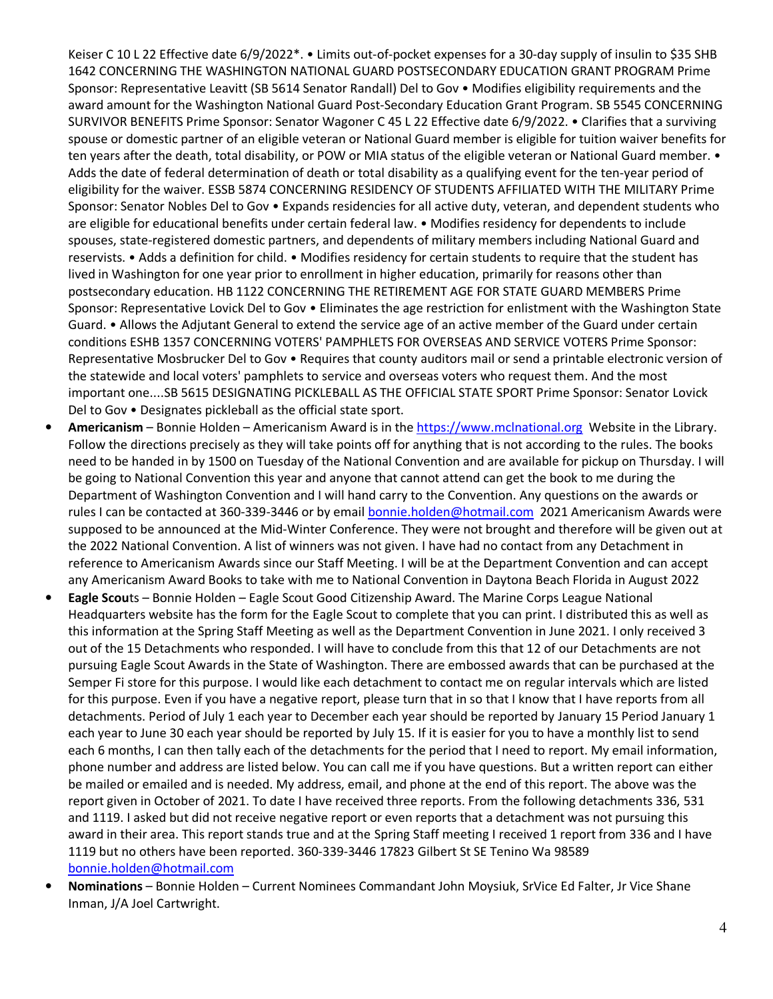Keiser C 10 L 22 Effective date 6/9/2022\*. • Limits out-of-pocket expenses for a 30-day supply of insulin to \$35 SHB 1642 CONCERNING THE WASHINGTON NATIONAL GUARD POSTSECONDARY EDUCATION GRANT PROGRAM Prime Sponsor: Representative Leavitt (SB 5614 Senator Randall) Del to Gov • Modifies eligibility requirements and the award amount for the Washington National Guard Post-Secondary Education Grant Program. SB 5545 CONCERNING SURVIVOR BENEFITS Prime Sponsor: Senator Wagoner C 45 L 22 Effective date 6/9/2022. • Clarifies that a surviving spouse or domestic partner of an eligible veteran or National Guard member is eligible for tuition waiver benefits for ten years after the death, total disability, or POW or MIA status of the eligible veteran or National Guard member. • Adds the date of federal determination of death or total disability as a qualifying event for the ten-year period of eligibility for the waiver. ESSB 5874 CONCERNING RESIDENCY OF STUDENTS AFFILIATED WITH THE MILITARY Prime Sponsor: Senator Nobles Del to Gov • Expands residencies for all active duty, veteran, and dependent students who are eligible for educational benefits under certain federal law. • Modifies residency for dependents to include spouses, state-registered domestic partners, and dependents of military members including National Guard and reservists. • Adds a definition for child. • Modifies residency for certain students to require that the student has lived in Washington for one year prior to enrollment in higher education, primarily for reasons other than postsecondary education. HB 1122 CONCERNING THE RETIREMENT AGE FOR STATE GUARD MEMBERS Prime Sponsor: Representative Lovick Del to Gov • Eliminates the age restriction for enlistment with the Washington State Guard. • Allows the Adjutant General to extend the service age of an active member of the Guard under certain conditions ESHB 1357 CONCERNING VOTERS' PAMPHLETS FOR OVERSEAS AND SERVICE VOTERS Prime Sponsor: Representative Mosbrucker Del to Gov • Requires that county auditors mail or send a printable electronic version of the statewide and local voters' pamphlets to service and overseas voters who request them. And the most important one....SB 5615 DESIGNATING PICKLEBALL AS THE OFFICIAL STATE SPORT Prime Sponsor: Senator Lovick Del to Gov • Designates pickleball as the official state sport.

- **Americanism**  Bonnie Holden Americanism Award is in the https://www.mclnational.org Website in the Library. Follow the directions precisely as they will take points off for anything that is not according to the rules. The books need to be handed in by 1500 on Tuesday of the National Convention and are available for pickup on Thursday. I will be going to National Convention this year and anyone that cannot attend can get the book to me during the Department of Washington Convention and I will hand carry to the Convention. Any questions on the awards or rules I can be contacted at 360-339-3446 or by email bonnie.holden@hotmail.com 2021 Americanism Awards were supposed to be announced at the Mid-Winter Conference. They were not brought and therefore will be given out at the 2022 National Convention. A list of winners was not given. I have had no contact from any Detachment in reference to Americanism Awards since our Staff Meeting. I will be at the Department Convention and can accept any Americanism Award Books to take with me to National Convention in Daytona Beach Florida in August 2022
- **Eagle Scou**ts Bonnie Holden Eagle Scout Good Citizenship Award. The Marine Corps League National Headquarters website has the form for the Eagle Scout to complete that you can print. I distributed this as well as this information at the Spring Staff Meeting as well as the Department Convention in June 2021. I only received 3 out of the 15 Detachments who responded. I will have to conclude from this that 12 of our Detachments are not pursuing Eagle Scout Awards in the State of Washington. There are embossed awards that can be purchased at the Semper Fi store for this purpose. I would like each detachment to contact me on regular intervals which are listed for this purpose. Even if you have a negative report, please turn that in so that I know that I have reports from all detachments. Period of July 1 each year to December each year should be reported by January 15 Period January 1 each year to June 30 each year should be reported by July 15. If it is easier for you to have a monthly list to send each 6 months, I can then tally each of the detachments for the period that I need to report. My email information, phone number and address are listed below. You can call me if you have questions. But a written report can either be mailed or emailed and is needed. My address, email, and phone at the end of this report. The above was the report given in October of 2021. To date I have received three reports. From the following detachments 336, 531 and 1119. I asked but did not receive negative report or even reports that a detachment was not pursuing this award in their area. This report stands true and at the Spring Staff meeting I received 1 report from 336 and I have 1119 but no others have been reported. 360-339-3446 17823 Gilbert St SE Tenino Wa 98589 bonnie.holden@hotmail.com
- **Nominations**  Bonnie Holden Current Nominees Commandant John Moysiuk, SrVice Ed Falter, Jr Vice Shane Inman, J/A Joel Cartwright.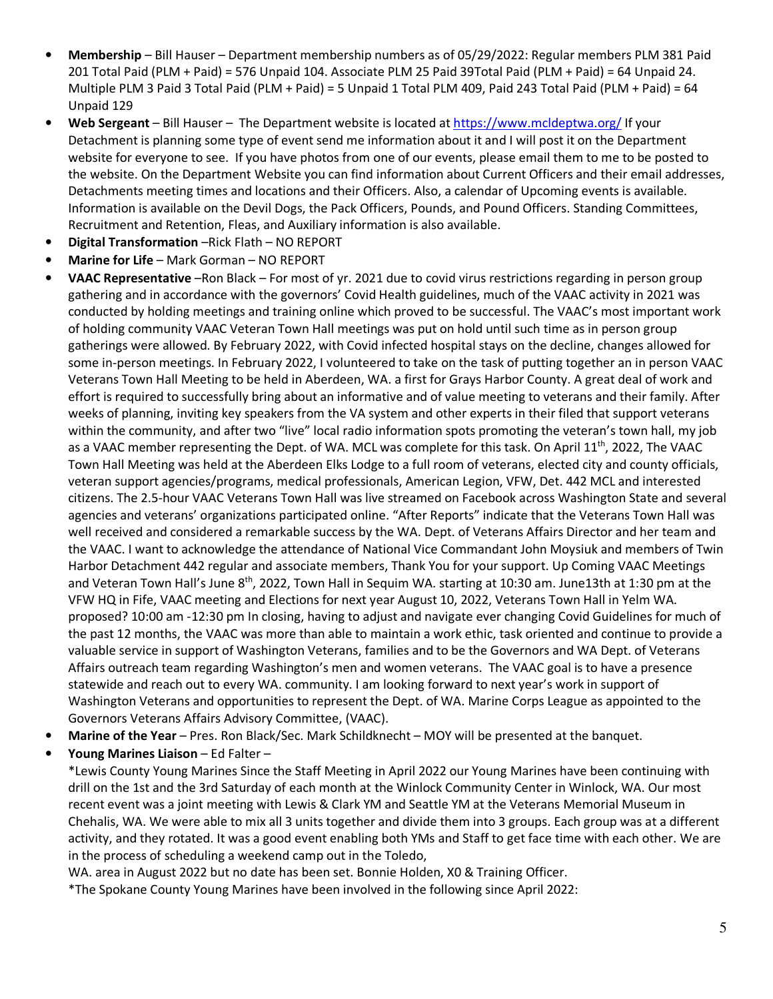- **Membership**  Bill Hauser Department membership numbers as of 05/29/2022: Regular members PLM 381 Paid 201 Total Paid (PLM + Paid) = 576 Unpaid 104. Associate PLM 25 Paid 39Total Paid (PLM + Paid) = 64 Unpaid 24. Multiple PLM 3 Paid 3 Total Paid (PLM + Paid) = 5 Unpaid 1 Total PLM 409, Paid 243 Total Paid (PLM + Paid) = 64 Unpaid 129
- **Web Sergeant** Bill Hauser The Department website is located at https://www.mcldeptwa.org/ If your Detachment is planning some type of event send me information about it and I will post it on the Department website for everyone to see. If you have photos from one of our events, please email them to me to be posted to the website. On the Department Website you can find information about Current Officers and their email addresses, Detachments meeting times and locations and their Officers. Also, a calendar of Upcoming events is available. Information is available on the Devil Dogs, the Pack Officers, Pounds, and Pound Officers. Standing Committees, Recruitment and Retention, Fleas, and Auxiliary information is also available.
- **Digital Transformation** –Rick Flath NO REPORT
- **Marine for Life** Mark Gorman NO REPORT
- **VAAC Representative** –Ron Black For most of yr. 2021 due to covid virus restrictions regarding in person group gathering and in accordance with the governors' Covid Health guidelines, much of the VAAC activity in 2021 was conducted by holding meetings and training online which proved to be successful. The VAAC's most important work of holding community VAAC Veteran Town Hall meetings was put on hold until such time as in person group gatherings were allowed. By February 2022, with Covid infected hospital stays on the decline, changes allowed for some in-person meetings. In February 2022, I volunteered to take on the task of putting together an in person VAAC Veterans Town Hall Meeting to be held in Aberdeen, WA. a first for Grays Harbor County. A great deal of work and effort is required to successfully bring about an informative and of value meeting to veterans and their family. After weeks of planning, inviting key speakers from the VA system and other experts in their filed that support veterans within the community, and after two "live" local radio information spots promoting the veteran's town hall, my job as a VAAC member representing the Dept. of WA. MCL was complete for this task. On April 11<sup>th</sup>, 2022, The VAAC Town Hall Meeting was held at the Aberdeen Elks Lodge to a full room of veterans, elected city and county officials, veteran support agencies/programs, medical professionals, American Legion, VFW, Det. 442 MCL and interested citizens. The 2.5-hour VAAC Veterans Town Hall was live streamed on Facebook across Washington State and several agencies and veterans' organizations participated online. "After Reports" indicate that the Veterans Town Hall was well received and considered a remarkable success by the WA. Dept. of Veterans Affairs Director and her team and the VAAC. I want to acknowledge the attendance of National Vice Commandant John Moysiuk and members of Twin Harbor Detachment 442 regular and associate members, Thank You for your support. Up Coming VAAC Meetings and Veteran Town Hall's June 8<sup>th</sup>, 2022, Town Hall in Sequim WA. starting at 10:30 am. June13th at 1:30 pm at the VFW HQ in Fife, VAAC meeting and Elections for next year August 10, 2022, Veterans Town Hall in Yelm WA. proposed? 10:00 am -12:30 pm In closing, having to adjust and navigate ever changing Covid Guidelines for much of the past 12 months, the VAAC was more than able to maintain a work ethic, task oriented and continue to provide a valuable service in support of Washington Veterans, families and to be the Governors and WA Dept. of Veterans Affairs outreach team regarding Washington's men and women veterans. The VAAC goal is to have a presence statewide and reach out to every WA. community. I am looking forward to next year's work in support of Washington Veterans and opportunities to represent the Dept. of WA. Marine Corps League as appointed to the Governors Veterans Affairs Advisory Committee, (VAAC).
- **Marine of the Year**  Pres. Ron Black/Sec. Mark Schildknecht MOY will be presented at the banquet.
- **Young Marines Liaison** Ed Falter –

\*Lewis County Young Marines Since the Staff Meeting in April 2022 our Young Marines have been continuing with drill on the 1st and the 3rd Saturday of each month at the Winlock Community Center in Winlock, WA. Our most recent event was a joint meeting with Lewis & Clark YM and Seattle YM at the Veterans Memorial Museum in Chehalis, WA. We were able to mix all 3 units together and divide them into 3 groups. Each group was at a different activity, and they rotated. It was a good event enabling both YMs and Staff to get face time with each other. We are in the process of scheduling a weekend camp out in the Toledo,

WA. area in August 2022 but no date has been set. Bonnie Holden, X0 & Training Officer.

\*The Spokane County Young Marines have been involved in the following since April 2022: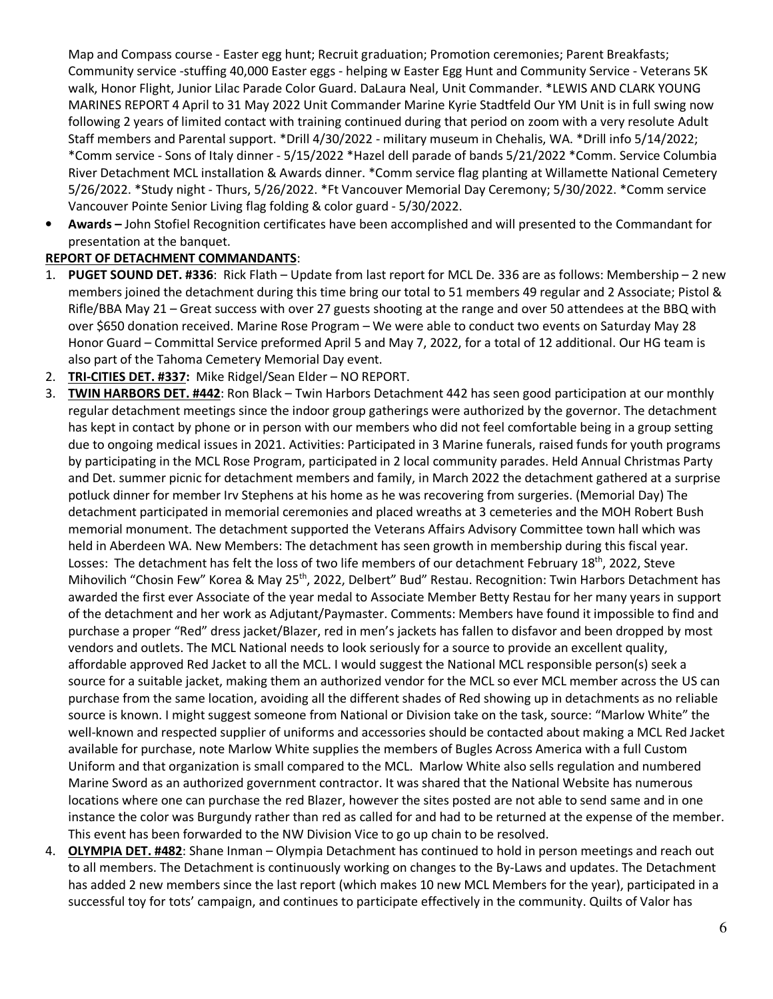Map and Compass course - Easter egg hunt; Recruit graduation; Promotion ceremonies; Parent Breakfasts; Community service -stuffing 40,000 Easter eggs - helping w Easter Egg Hunt and Community Service - Veterans 5K walk, Honor Flight, Junior Lilac Parade Color Guard. DaLaura Neal, Unit Commander. \*LEWIS AND CLARK YOUNG MARINES REPORT 4 April to 31 May 2022 Unit Commander Marine Kyrie Stadtfeld Our YM Unit is in full swing now following 2 years of limited contact with training continued during that period on zoom with a very resolute Adult Staff members and Parental support. \*Drill 4/30/2022 - military museum in Chehalis, WA. \*Drill info 5/14/2022; \*Comm service - Sons of Italy dinner - 5/15/2022 \*Hazel dell parade of bands 5/21/2022 \*Comm. Service Columbia River Detachment MCL installation & Awards dinner. \*Comm service flag planting at Willamette National Cemetery 5/26/2022. \*Study night - Thurs, 5/26/2022. \*Ft Vancouver Memorial Day Ceremony; 5/30/2022. \*Comm service Vancouver Pointe Senior Living flag folding & color guard - 5/30/2022.

• **Awards –** John Stofiel Recognition certificates have been accomplished and will presented to the Commandant for presentation at the banquet.

# **REPORT OF DETACHMENT COMMANDANTS**:

- 1. **PUGET SOUND DET. #336**: Rick Flath Update from last report for MCL De. 336 are as follows: Membership 2 new members joined the detachment during this time bring our total to 51 members 49 regular and 2 Associate; Pistol & Rifle/BBA May 21 – Great success with over 27 guests shooting at the range and over 50 attendees at the BBQ with over \$650 donation received. Marine Rose Program – We were able to conduct two events on Saturday May 28 Honor Guard – Committal Service preformed April 5 and May 7, 2022, for a total of 12 additional. Our HG team is also part of the Tahoma Cemetery Memorial Day event.
- 2. **TRI-CITIES DET. #337:** Mike Ridgel/Sean Elder NO REPORT.
- 3. **TWIN HARBORS DET. #442**: Ron Black Twin Harbors Detachment 442 has seen good participation at our monthly regular detachment meetings since the indoor group gatherings were authorized by the governor. The detachment has kept in contact by phone or in person with our members who did not feel comfortable being in a group setting due to ongoing medical issues in 2021. Activities: Participated in 3 Marine funerals, raised funds for youth programs by participating in the MCL Rose Program, participated in 2 local community parades. Held Annual Christmas Party and Det. summer picnic for detachment members and family, in March 2022 the detachment gathered at a surprise potluck dinner for member Irv Stephens at his home as he was recovering from surgeries. (Memorial Day) The detachment participated in memorial ceremonies and placed wreaths at 3 cemeteries and the MOH Robert Bush memorial monument. The detachment supported the Veterans Affairs Advisory Committee town hall which was held in Aberdeen WA. New Members: The detachment has seen growth in membership during this fiscal year. Losses: The detachment has felt the loss of two life members of our detachment February 18<sup>th</sup>, 2022, Steve Mihovilich "Chosin Few" Korea & May 25<sup>th</sup>, 2022, Delbert" Bud" Restau. Recognition: Twin Harbors Detachment has awarded the first ever Associate of the year medal to Associate Member Betty Restau for her many years in support of the detachment and her work as Adjutant/Paymaster. Comments: Members have found it impossible to find and purchase a proper "Red" dress jacket/Blazer, red in men's jackets has fallen to disfavor and been dropped by most vendors and outlets. The MCL National needs to look seriously for a source to provide an excellent quality, affordable approved Red Jacket to all the MCL. I would suggest the National MCL responsible person(s) seek a source for a suitable jacket, making them an authorized vendor for the MCL so ever MCL member across the US can purchase from the same location, avoiding all the different shades of Red showing up in detachments as no reliable source is known. I might suggest someone from National or Division take on the task, source: "Marlow White" the well-known and respected supplier of uniforms and accessories should be contacted about making a MCL Red Jacket available for purchase, note Marlow White supplies the members of Bugles Across America with a full Custom Uniform and that organization is small compared to the MCL. Marlow White also sells regulation and numbered Marine Sword as an authorized government contractor. It was shared that the National Website has numerous locations where one can purchase the red Blazer, however the sites posted are not able to send same and in one instance the color was Burgundy rather than red as called for and had to be returned at the expense of the member. This event has been forwarded to the NW Division Vice to go up chain to be resolved.
- 4. **OLYMPIA DET. #482**: Shane Inman Olympia Detachment has continued to hold in person meetings and reach out to all members. The Detachment is continuously working on changes to the By-Laws and updates. The Detachment has added 2 new members since the last report (which makes 10 new MCL Members for the year), participated in a successful toy for tots' campaign, and continues to participate effectively in the community. Quilts of Valor has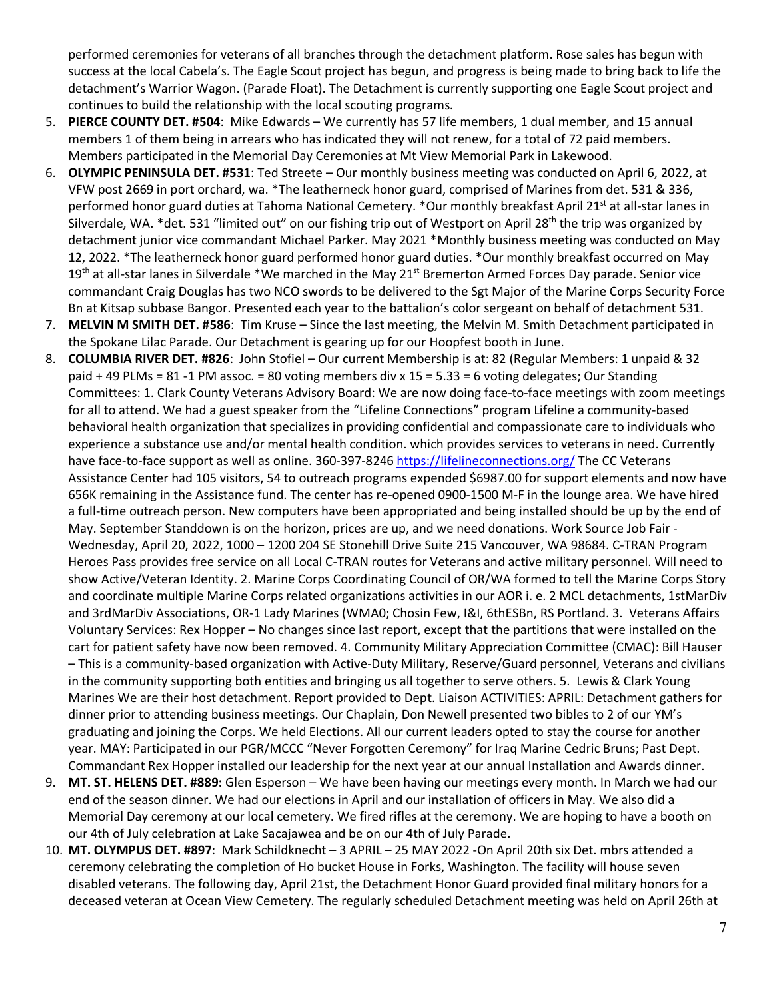performed ceremonies for veterans of all branches through the detachment platform. Rose sales has begun with success at the local Cabela's. The Eagle Scout project has begun, and progress is being made to bring back to life the detachment's Warrior Wagon. (Parade Float). The Detachment is currently supporting one Eagle Scout project and continues to build the relationship with the local scouting programs.

- 5. **PIERCE COUNTY DET. #504**: Mike Edwards We currently has 57 life members, 1 dual member, and 15 annual members 1 of them being in arrears who has indicated they will not renew, for a total of 72 paid members. Members participated in the Memorial Day Ceremonies at Mt View Memorial Park in Lakewood.
- 6. **OLYMPIC PENINSULA DET. #531**: Ted Streete Our monthly business meeting was conducted on April 6, 2022, at VFW post 2669 in port orchard, wa. \*The leatherneck honor guard, comprised of Marines from det. 531 & 336, performed honor guard duties at Tahoma National Cemetery. \*Our monthly breakfast April 21<sup>st</sup> at all-star lanes in Silverdale, WA. \*det. 531 "limited out" on our fishing trip out of Westport on April 28<sup>th</sup> the trip was organized by detachment junior vice commandant Michael Parker. May 2021 \*Monthly business meeting was conducted on May 12, 2022. \*The leatherneck honor guard performed honor guard duties. \*Our monthly breakfast occurred on May 19<sup>th</sup> at all-star lanes in Silverdale \*We marched in the May 21<sup>st</sup> Bremerton Armed Forces Day parade. Senior vice commandant Craig Douglas has two NCO swords to be delivered to the Sgt Major of the Marine Corps Security Force Bn at Kitsap subbase Bangor. Presented each year to the battalion's color sergeant on behalf of detachment 531.
- 7. **MELVIN M SMITH DET. #586**: Tim Kruse Since the last meeting, the Melvin M. Smith Detachment participated in the Spokane Lilac Parade. Our Detachment is gearing up for our Hoopfest booth in June.
- 8. **COLUMBIA RIVER DET. #826**: John Stofiel Our current Membership is at: 82 (Regular Members: 1 unpaid & 32 paid + 49 PLMs = 81 -1 PM assoc. = 80 voting members div x 15 = 5.33 = 6 voting delegates; Our Standing Committees: 1. Clark County Veterans Advisory Board: We are now doing face-to-face meetings with zoom meetings for all to attend. We had a guest speaker from the "Lifeline Connections" program Lifeline a community-based behavioral health organization that specializes in providing confidential and compassionate care to individuals who experience a substance use and/or mental health condition. which provides services to veterans in need. Currently have face-to-face support as well as online. 360-397-8246 https://lifelineconnections.org/ The CC Veterans Assistance Center had 105 visitors, 54 to outreach programs expended \$6987.00 for support elements and now have 656K remaining in the Assistance fund. The center has re-opened 0900-1500 M-F in the lounge area. We have hired a full-time outreach person. New computers have been appropriated and being installed should be up by the end of May. September Standdown is on the horizon, prices are up, and we need donations. Work Source Job Fair - Wednesday, April 20, 2022, 1000 – 1200 204 SE Stonehill Drive Suite 215 Vancouver, WA 98684. C-TRAN Program Heroes Pass provides free service on all Local C-TRAN routes for Veterans and active military personnel. Will need to show Active/Veteran Identity. 2. Marine Corps Coordinating Council of OR/WA formed to tell the Marine Corps Story and coordinate multiple Marine Corps related organizations activities in our AOR i. e. 2 MCL detachments, 1stMarDiv and 3rdMarDiv Associations, OR-1 Lady Marines (WMA0; Chosin Few, I&I, 6thESBn, RS Portland. 3. Veterans Affairs Voluntary Services: Rex Hopper – No changes since last report, except that the partitions that were installed on the cart for patient safety have now been removed. 4. Community Military Appreciation Committee (CMAC): Bill Hauser – This is a community-based organization with Active-Duty Military, Reserve/Guard personnel, Veterans and civilians in the community supporting both entities and bringing us all together to serve others. 5. Lewis & Clark Young Marines We are their host detachment. Report provided to Dept. Liaison ACTIVITIES: APRIL: Detachment gathers for dinner prior to attending business meetings. Our Chaplain, Don Newell presented two bibles to 2 of our YM's graduating and joining the Corps. We held Elections. All our current leaders opted to stay the course for another year. MAY: Participated in our PGR/MCCC "Never Forgotten Ceremony" for Iraq Marine Cedric Bruns; Past Dept. Commandant Rex Hopper installed our leadership for the next year at our annual Installation and Awards dinner.
- 9. **MT. ST. HELENS DET. #889:** Glen Esperson We have been having our meetings every month. In March we had our end of the season dinner. We had our elections in April and our installation of officers in May. We also did a Memorial Day ceremony at our local cemetery. We fired rifles at the ceremony. We are hoping to have a booth on our 4th of July celebration at Lake Sacajawea and be on our 4th of July Parade.
- 10. **MT. OLYMPUS DET. #897**: Mark Schildknecht 3 APRIL 25 MAY 2022 -On April 20th six Det. mbrs attended a ceremony celebrating the completion of Ho bucket House in Forks, Washington. The facility will house seven disabled veterans. The following day, April 21st, the Detachment Honor Guard provided final military honors for a deceased veteran at Ocean View Cemetery. The regularly scheduled Detachment meeting was held on April 26th at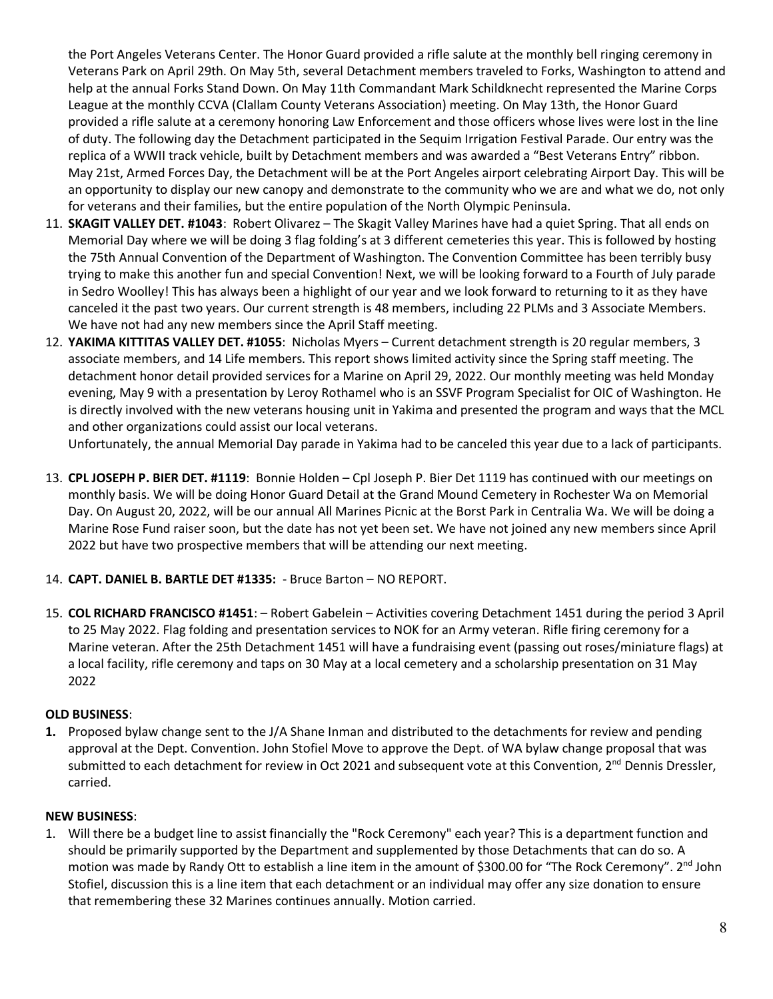the Port Angeles Veterans Center. The Honor Guard provided a rifle salute at the monthly bell ringing ceremony in Veterans Park on April 29th. On May 5th, several Detachment members traveled to Forks, Washington to attend and help at the annual Forks Stand Down. On May 11th Commandant Mark Schildknecht represented the Marine Corps League at the monthly CCVA (Clallam County Veterans Association) meeting. On May 13th, the Honor Guard provided a rifle salute at a ceremony honoring Law Enforcement and those officers whose lives were lost in the line of duty. The following day the Detachment participated in the Sequim Irrigation Festival Parade. Our entry was the replica of a WWII track vehicle, built by Detachment members and was awarded a "Best Veterans Entry" ribbon. May 21st, Armed Forces Day, the Detachment will be at the Port Angeles airport celebrating Airport Day. This will be an opportunity to display our new canopy and demonstrate to the community who we are and what we do, not only for veterans and their families, but the entire population of the North Olympic Peninsula.

- 11. **SKAGIT VALLEY DET. #1043**: Robert Olivarez The Skagit Valley Marines have had a quiet Spring. That all ends on Memorial Day where we will be doing 3 flag folding's at 3 different cemeteries this year. This is followed by hosting the 75th Annual Convention of the Department of Washington. The Convention Committee has been terribly busy trying to make this another fun and special Convention! Next, we will be looking forward to a Fourth of July parade in Sedro Woolley! This has always been a highlight of our year and we look forward to returning to it as they have canceled it the past two years. Our current strength is 48 members, including 22 PLMs and 3 Associate Members. We have not had any new members since the April Staff meeting.
- 12. **YAKIMA KITTITAS VALLEY DET. #1055**: Nicholas Myers Current detachment strength is 20 regular members, 3 associate members, and 14 Life members. This report shows limited activity since the Spring staff meeting. The detachment honor detail provided services for a Marine on April 29, 2022. Our monthly meeting was held Monday evening, May 9 with a presentation by Leroy Rothamel who is an SSVF Program Specialist for OIC of Washington. He is directly involved with the new veterans housing unit in Yakima and presented the program and ways that the MCL and other organizations could assist our local veterans.

Unfortunately, the annual Memorial Day parade in Yakima had to be canceled this year due to a lack of participants.

13. **CPL JOSEPH P. BIER DET. #1119**: Bonnie Holden – Cpl Joseph P. Bier Det 1119 has continued with our meetings on monthly basis. We will be doing Honor Guard Detail at the Grand Mound Cemetery in Rochester Wa on Memorial Day. On August 20, 2022, will be our annual All Marines Picnic at the Borst Park in Centralia Wa. We will be doing a Marine Rose Fund raiser soon, but the date has not yet been set. We have not joined any new members since April 2022 but have two prospective members that will be attending our next meeting.

#### 14. **CAPT. DANIEL B. BARTLE DET #1335:** - Bruce Barton – NO REPORT.

15. **COL RICHARD FRANCISCO #1451**: – Robert Gabelein – Activities covering Detachment 1451 during the period 3 April to 25 May 2022. Flag folding and presentation services to NOK for an Army veteran. Rifle firing ceremony for a Marine veteran. After the 25th Detachment 1451 will have a fundraising event (passing out roses/miniature flags) at a local facility, rifle ceremony and taps on 30 May at a local cemetery and a scholarship presentation on 31 May 2022

#### **OLD BUSINESS**:

**1.** Proposed bylaw change sent to the J/A Shane Inman and distributed to the detachments for review and pending approval at the Dept. Convention. John Stofiel Move to approve the Dept. of WA bylaw change proposal that was submitted to each detachment for review in Oct 2021 and subsequent vote at this Convention,  $2^{nd}$  Dennis Dressler, carried.

#### **NEW BUSINESS**:

1. Will there be a budget line to assist financially the "Rock Ceremony" each year? This is a department function and should be primarily supported by the Department and supplemented by those Detachments that can do so. A motion was made by Randy Ott to establish a line item in the amount of \$300.00 for "The Rock Ceremony". 2<sup>nd</sup> John Stofiel, discussion this is a line item that each detachment or an individual may offer any size donation to ensure that remembering these 32 Marines continues annually. Motion carried.